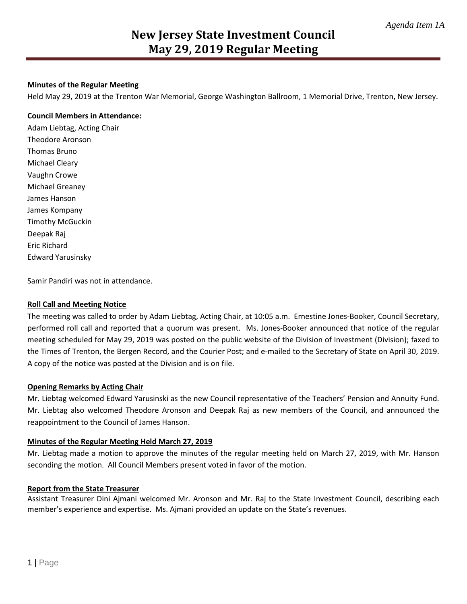#### **Minutes of the Regular Meeting**

Held May 29, 2019 at the Trenton War Memorial, George Washington Ballroom, 1 Memorial Drive, Trenton, New Jersey.

#### **Council Members in Attendance:**

Adam Liebtag, Acting Chair Theodore Aronson Thomas Bruno Michael Cleary Vaughn Crowe Michael Greaney James Hanson James Kompany Timothy McGuckin Deepak Raj Eric Richard Edward Yarusinsky

Samir Pandiri was not in attendance.

#### **Roll Call and Meeting Notice**

The meeting was called to order by Adam Liebtag, Acting Chair, at 10:05 a.m. Ernestine Jones-Booker, Council Secretary, performed roll call and reported that a quorum was present. Ms. Jones-Booker announced that notice of the regular meeting scheduled for May 29, 2019 was posted on the public website of the Division of Investment (Division); faxed to the Times of Trenton, the Bergen Record, and the Courier Post; and e-mailed to the Secretary of State on April 30, 2019. A copy of the notice was posted at the Division and is on file.

#### **Opening Remarks by Acting Chair**

Mr. Liebtag welcomed Edward Yarusinski as the new Council representative of the Teachers' Pension and Annuity Fund. Mr. Liebtag also welcomed Theodore Aronson and Deepak Raj as new members of the Council, and announced the reappointment to the Council of James Hanson.

#### **Minutes of the Regular Meeting Held March 27, 2019**

Mr. Liebtag made a motion to approve the minutes of the regular meeting held on March 27, 2019, with Mr. Hanson seconding the motion. All Council Members present voted in favor of the motion.

#### **Report from the State Treasurer**

Assistant Treasurer Dini Ajmani welcomed Mr. Aronson and Mr. Raj to the State Investment Council, describing each member's experience and expertise. Ms. Ajmani provided an update on the State's revenues.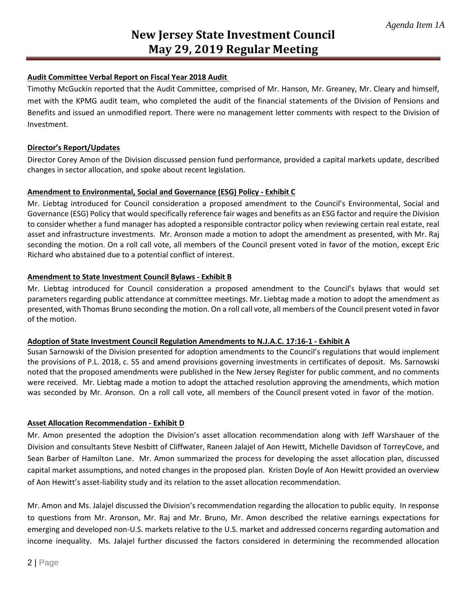#### **Audit Committee Verbal Report on Fiscal Year 2018 Audit**

Timothy McGuckin reported that the Audit Committee, comprised of Mr. Hanson, Mr. Greaney, Mr. Cleary and himself, met with the KPMG audit team, who completed the audit of the financial statements of the Division of Pensions and Benefits and issued an unmodified report. There were no management letter comments with respect to the Division of Investment.

#### **Director's Report/Updates**

Director Corey Amon of the Division discussed pension fund performance, provided a capital markets update, described changes in sector allocation, and spoke about recent legislation.

#### **Amendment to Environmental, Social and Governance (ESG) Policy - Exhibit C**

Mr. Liebtag introduced for Council consideration a proposed amendment to the Council's Environmental, Social and Governance (ESG) Policy that would specifically reference fair wages and benefits as an ESG factor and require the Division to consider whether a fund manager has adopted a responsible contractor policy when reviewing certain real estate, real asset and infrastructure investments. Mr. Aronson made a motion to adopt the amendment as presented, with Mr. Raj seconding the motion. On a roll call vote, all members of the Council present voted in favor of the motion, except Eric Richard who abstained due to a potential conflict of interest.

#### **Amendment to State Investment Council Bylaws - Exhibit B**

Mr. Liebtag introduced for Council consideration a proposed amendment to the Council's bylaws that would set parameters regarding public attendance at committee meetings. Mr. Liebtag made a motion to adopt the amendment as presented, with Thomas Bruno seconding the motion. On a roll call vote, all members of the Council present voted in favor of the motion.

#### **Adoption of State Investment Council Regulation Amendments to N.J.A.C. 17:16-1 - Exhibit A**

Susan Sarnowski of the Division presented for adoption amendments to the Council's regulations that would implement the provisions of P.L. 2018, c. 55 and amend provisions governing investments in certificates of deposit. Ms. Sarnowski noted that the proposed amendments were published in the New Jersey Register for public comment, and no comments were received. Mr. Liebtag made a motion to adopt the attached resolution approving the amendments, which motion was seconded by Mr. Aronson. On a roll call vote, all members of the Council present voted in favor of the motion.

#### **Asset Allocation Recommendation - Exhibit D**

Mr. Amon presented the adoption the Division's asset allocation recommendation along with Jeff Warshauer of the Division and consultants Steve Nesbitt of Cliffwater, Raneen Jalajel of Aon Hewitt, Michelle Davidson of TorreyCove, and Sean Barber of Hamilton Lane. Mr. Amon summarized the process for developing the asset allocation plan, discussed capital market assumptions, and noted changes in the proposed plan. Kristen Doyle of Aon Hewitt provided an overview of Aon Hewitt's asset-liability study and its relation to the asset allocation recommendation.

Mr. Amon and Ms. Jalajel discussed the Division's recommendation regarding the allocation to public equity. In response to questions from Mr. Aronson, Mr. Raj and Mr. Bruno, Mr. Amon described the relative earnings expectations for emerging and developed non-U.S. markets relative to the U.S. market and addressed concerns regarding automation and income inequality. Ms. Jalajel further discussed the factors considered in determining the recommended allocation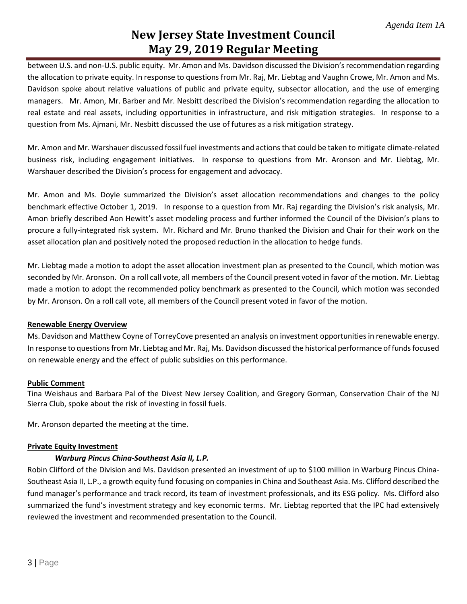## **New Jersey State Investment Council May 29, 2019 Regular Meeting**

between U.S. and non-U.S. public equity. Mr. Amon and Ms. Davidson discussed the Division's recommendation regarding the allocation to private equity. In response to questions from Mr. Raj, Mr. Liebtag and Vaughn Crowe, Mr. Amon and Ms. Davidson spoke about relative valuations of public and private equity, subsector allocation, and the use of emerging managers. Mr. Amon, Mr. Barber and Mr. Nesbitt described the Division's recommendation regarding the allocation to real estate and real assets, including opportunities in infrastructure, and risk mitigation strategies. In response to a question from Ms. Ajmani, Mr. Nesbitt discussed the use of futures as a risk mitigation strategy.

Mr. Amon and Mr. Warshauer discussed fossil fuel investments and actions that could be taken to mitigate climate-related business risk, including engagement initiatives. In response to questions from Mr. Aronson and Mr. Liebtag, Mr. Warshauer described the Division's process for engagement and advocacy.

Mr. Amon and Ms. Doyle summarized the Division's asset allocation recommendations and changes to the policy benchmark effective October 1, 2019. In response to a question from Mr. Raj regarding the Division's risk analysis, Mr. Amon briefly described Aon Hewitt's asset modeling process and further informed the Council of the Division's plans to procure a fully-integrated risk system. Mr. Richard and Mr. Bruno thanked the Division and Chair for their work on the asset allocation plan and positively noted the proposed reduction in the allocation to hedge funds.

Mr. Liebtag made a motion to adopt the asset allocation investment plan as presented to the Council, which motion was seconded by Mr. Aronson. On a roll call vote, all members of the Council present voted in favor of the motion. Mr. Liebtag made a motion to adopt the recommended policy benchmark as presented to the Council, which motion was seconded by Mr. Aronson. On a roll call vote, all members of the Council present voted in favor of the motion.

#### **Renewable Energy Overview**

Ms. Davidson and Matthew Coyne of TorreyCove presented an analysis on investment opportunities in renewable energy. In response to questions from Mr. Liebtag and Mr. Raj, Ms. Davidson discussed the historical performance of funds focused on renewable energy and the effect of public subsidies on this performance.

#### **Public Comment**

Tina Weishaus and Barbara Pal of the Divest New Jersey Coalition, and Gregory Gorman, Conservation Chair of the NJ Sierra Club, spoke about the risk of investing in fossil fuels.

Mr. Aronson departed the meeting at the time.

#### **Private Equity Investment**

#### *Warburg Pincus China-Southeast Asia II, L.P.*

Robin Clifford of the Division and Ms. Davidson presented an investment of up to \$100 million in Warburg Pincus China-Southeast Asia II, L.P., a growth equity fund focusing on companies in China and Southeast Asia. Ms. Clifford described the fund manager's performance and track record, its team of investment professionals, and its ESG policy. Ms. Clifford also summarized the fund's investment strategy and key economic terms. Mr. Liebtag reported that the IPC had extensively reviewed the investment and recommended presentation to the Council.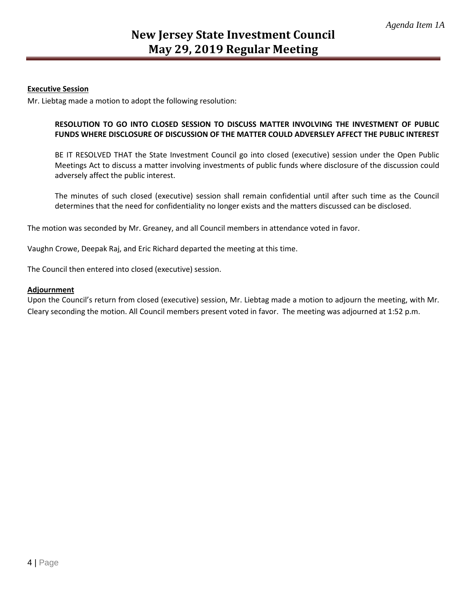#### **Executive Session**

Mr. Liebtag made a motion to adopt the following resolution:

#### **RESOLUTION TO GO INTO CLOSED SESSION TO DISCUSS MATTER INVOLVING THE INVESTMENT OF PUBLIC FUNDS WHERE DISCLOSURE OF DISCUSSION OF THE MATTER COULD ADVERSLEY AFFECT THE PUBLIC INTEREST**

BE IT RESOLVED THAT the State Investment Council go into closed (executive) session under the Open Public Meetings Act to discuss a matter involving investments of public funds where disclosure of the discussion could adversely affect the public interest.

The minutes of such closed (executive) session shall remain confidential until after such time as the Council determines that the need for confidentiality no longer exists and the matters discussed can be disclosed.

The motion was seconded by Mr. Greaney, and all Council members in attendance voted in favor.

Vaughn Crowe, Deepak Raj, and Eric Richard departed the meeting at this time.

The Council then entered into closed (executive) session.

#### **Adjournment**

Upon the Council's return from closed (executive) session, Mr. Liebtag made a motion to adjourn the meeting, with Mr. Cleary seconding the motion. All Council members present voted in favor. The meeting was adjourned at 1:52 p.m.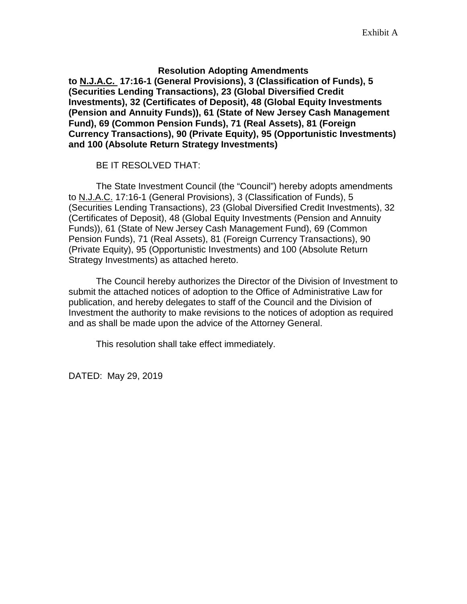#### **Resolution Adopting Amendments**

**to N.J.A.C. 17:16-1 (General Provisions), 3 (Classification of Funds), 5 (Securities Lending Transactions), 23 (Global Diversified Credit Investments), 32 (Certificates of Deposit), 48 (Global Equity Investments (Pension and Annuity Funds)), 61 (State of New Jersey Cash Management Fund), 69 (Common Pension Funds), 71 (Real Assets), 81 (Foreign Currency Transactions), 90 (Private Equity), 95 (Opportunistic Investments) and 100 (Absolute Return Strategy Investments)**

BE IT RESOLVED THAT:

The State Investment Council (the "Council") hereby adopts amendments to N.J.A.C. 17:16-1 (General Provisions), 3 (Classification of Funds), 5 (Securities Lending Transactions), 23 (Global Diversified Credit Investments), 32 (Certificates of Deposit), 48 (Global Equity Investments (Pension and Annuity Funds)), 61 (State of New Jersey Cash Management Fund), 69 (Common Pension Funds), 71 (Real Assets), 81 (Foreign Currency Transactions), 90 (Private Equity), 95 (Opportunistic Investments) and 100 (Absolute Return Strategy Investments) as attached hereto.

The Council hereby authorizes the Director of the Division of Investment to submit the attached notices of adoption to the Office of Administrative Law for publication, and hereby delegates to staff of the Council and the Division of Investment the authority to make revisions to the notices of adoption as required and as shall be made upon the advice of the Attorney General.

This resolution shall take effect immediately.

DATED: May 29, 2019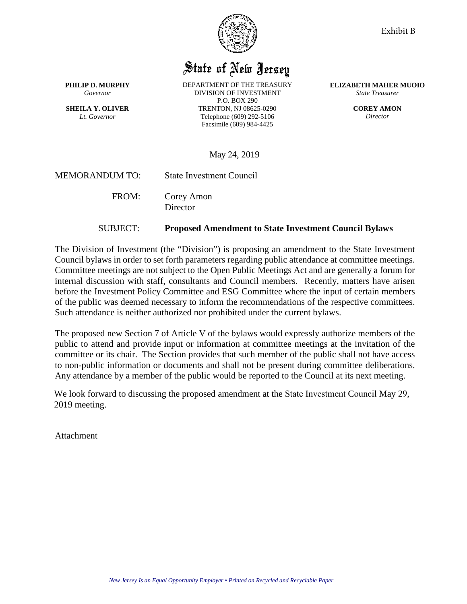

## State of New Jersey

**PHILIP D. MURPHY** *Governor*

**SHEILA Y. OLIVER** *Lt. Governor*

DEPARTMENT OF THE TREASURY DIVISION OF INVESTMENT P.O. BOX 290 TRENTON, NJ 08625-0290 Telephone (609) 292-5106 Facsimile (609) 984-4425

**ELIZABETH MAHER MUOIO** *State Treasurer*

> **COREY AMON** *Director*

May 24, 2019

MEMORANDUM TO: State Investment Council

FROM: Corey Amon

**Director** 

#### SUBJECT: **Proposed Amendment to State Investment Council Bylaws**

The Division of Investment (the "Division") is proposing an amendment to the State Investment Council bylaws in order to set forth parameters regarding public attendance at committee meetings. Committee meetings are not subject to the Open Public Meetings Act and are generally a forum for internal discussion with staff, consultants and Council members. Recently, matters have arisen before the Investment Policy Committee and ESG Committee where the input of certain members of the public was deemed necessary to inform the recommendations of the respective committees. Such attendance is neither authorized nor prohibited under the current bylaws.

The proposed new Section 7 of Article V of the bylaws would expressly authorize members of the public to attend and provide input or information at committee meetings at the invitation of the committee or its chair. The Section provides that such member of the public shall not have access to non-public information or documents and shall not be present during committee deliberations. Any attendance by a member of the public would be reported to the Council at its next meeting.

We look forward to discussing the proposed amendment at the State Investment Council May 29, 2019 meeting.

Attachment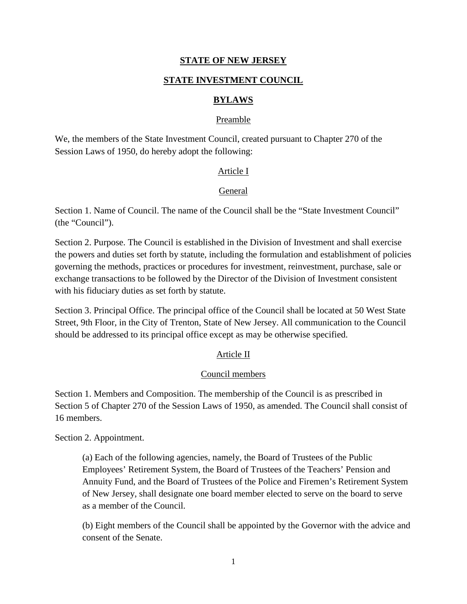#### **STATE INVESTMENT COUNCIL**

#### **BYLAWS**

#### Preamble

We, the members of the State Investment Council, created pursuant to Chapter 270 of the Session Laws of 1950, do hereby adopt the following:

#### Article I

#### General

Section 1. Name of Council. The name of the Council shall be the "State Investment Council" (the "Council").

Section 2. Purpose. The Council is established in the Division of Investment and shall exercise the powers and duties set forth by statute, including the formulation and establishment of policies governing the methods, practices or procedures for investment, reinvestment, purchase, sale or exchange transactions to be followed by the Director of the Division of Investment consistent with his fiduciary duties as set forth by statute.

Section 3. Principal Office. The principal office of the Council shall be located at 50 West State Street, 9th Floor, in the City of Trenton, State of New Jersey. All communication to the Council should be addressed to its principal office except as may be otherwise specified.

#### Article II

#### Council members

Section 1. Members and Composition. The membership of the Council is as prescribed in Section 5 of Chapter 270 of the Session Laws of 1950, as amended. The Council shall consist of 16 members.

Section 2. Appointment.

(a) Each of the following agencies, namely, the Board of Trustees of the Public Employees' Retirement System, the Board of Trustees of the Teachers' Pension and Annuity Fund, and the Board of Trustees of the Police and Firemen's Retirement System of New Jersey, shall designate one board member elected to serve on the board to serve as a member of the Council.

(b) Eight members of the Council shall be appointed by the Governor with the advice and consent of the Senate.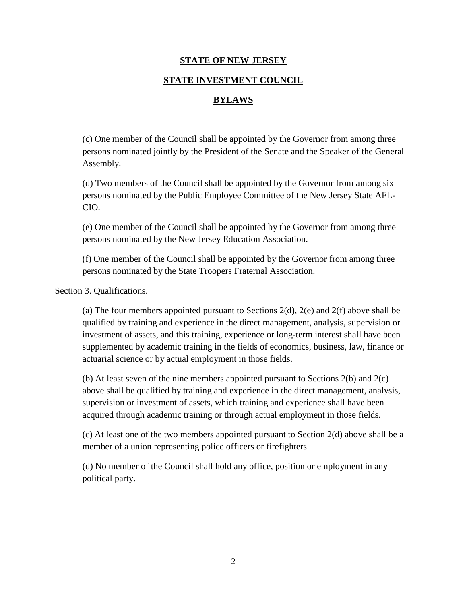#### **STATE INVESTMENT COUNCIL**

#### **BYLAWS**

(c) One member of the Council shall be appointed by the Governor from among three persons nominated jointly by the President of the Senate and the Speaker of the General Assembly.

(d) Two members of the Council shall be appointed by the Governor from among six persons nominated by the Public Employee Committee of the New Jersey State AFL-CIO.

(e) One member of the Council shall be appointed by the Governor from among three persons nominated by the New Jersey Education Association.

(f) One member of the Council shall be appointed by the Governor from among three persons nominated by the State Troopers Fraternal Association.

Section 3. Qualifications.

(a) The four members appointed pursuant to Sections  $2(d)$ ,  $2(e)$  and  $2(f)$  above shall be qualified by training and experience in the direct management, analysis, supervision or investment of assets, and this training, experience or long-term interest shall have been supplemented by academic training in the fields of economics, business, law, finance or actuarial science or by actual employment in those fields.

(b) At least seven of the nine members appointed pursuant to Sections 2(b) and 2(c) above shall be qualified by training and experience in the direct management, analysis, supervision or investment of assets, which training and experience shall have been acquired through academic training or through actual employment in those fields.

(c) At least one of the two members appointed pursuant to Section 2(d) above shall be a member of a union representing police officers or firefighters.

(d) No member of the Council shall hold any office, position or employment in any political party.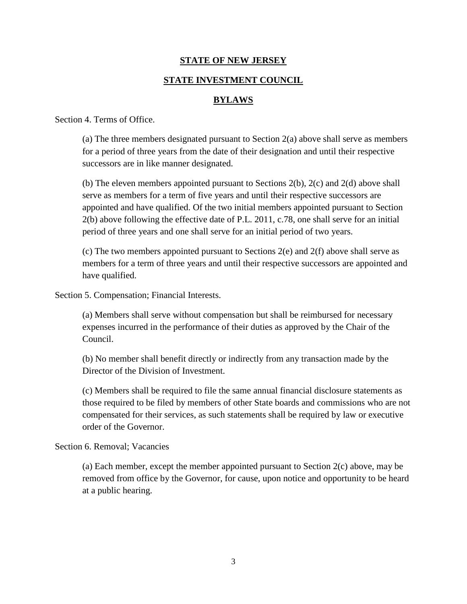#### **STATE INVESTMENT COUNCIL**

#### **BYLAWS**

Section 4. Terms of Office.

(a) The three members designated pursuant to Section 2(a) above shall serve as members for a period of three years from the date of their designation and until their respective successors are in like manner designated.

(b) The eleven members appointed pursuant to Sections 2(b), 2(c) and 2(d) above shall serve as members for a term of five years and until their respective successors are appointed and have qualified. Of the two initial members appointed pursuant to Section 2(b) above following the effective date of P.L. 2011, c.78, one shall serve for an initial period of three years and one shall serve for an initial period of two years.

(c) The two members appointed pursuant to Sections 2(e) and 2(f) above shall serve as members for a term of three years and until their respective successors are appointed and have qualified.

Section 5. Compensation; Financial Interests.

(a) Members shall serve without compensation but shall be reimbursed for necessary expenses incurred in the performance of their duties as approved by the Chair of the Council.

(b) No member shall benefit directly or indirectly from any transaction made by the Director of the Division of Investment.

(c) Members shall be required to file the same annual financial disclosure statements as those required to be filed by members of other State boards and commissions who are not compensated for their services, as such statements shall be required by law or executive order of the Governor.

#### Section 6. Removal; Vacancies

(a) Each member, except the member appointed pursuant to Section 2(c) above, may be removed from office by the Governor, for cause, upon notice and opportunity to be heard at a public hearing.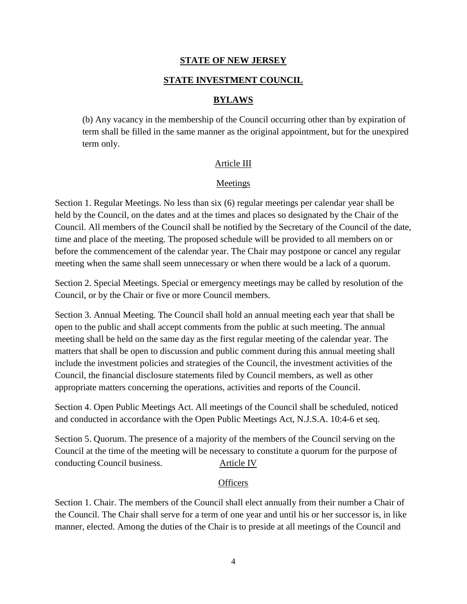#### **STATE INVESTMENT COUNCIL**

#### **BYLAWS**

(b) Any vacancy in the membership of the Council occurring other than by expiration of term shall be filled in the same manner as the original appointment, but for the unexpired term only.

#### Article III

#### Meetings

Section 1. Regular Meetings. No less than six (6) regular meetings per calendar year shall be held by the Council, on the dates and at the times and places so designated by the Chair of the Council. All members of the Council shall be notified by the Secretary of the Council of the date, time and place of the meeting. The proposed schedule will be provided to all members on or before the commencement of the calendar year. The Chair may postpone or cancel any regular meeting when the same shall seem unnecessary or when there would be a lack of a quorum.

Section 2. Special Meetings. Special or emergency meetings may be called by resolution of the Council, or by the Chair or five or more Council members.

Section 3. Annual Meeting. The Council shall hold an annual meeting each year that shall be open to the public and shall accept comments from the public at such meeting. The annual meeting shall be held on the same day as the first regular meeting of the calendar year. The matters that shall be open to discussion and public comment during this annual meeting shall include the investment policies and strategies of the Council, the investment activities of the Council, the financial disclosure statements filed by Council members, as well as other appropriate matters concerning the operations, activities and reports of the Council.

Section 4. Open Public Meetings Act. All meetings of the Council shall be scheduled, noticed and conducted in accordance with the Open Public Meetings Act, N.J.S.A. 10:4-6 et seq.

Section 5. Quorum. The presence of a majority of the members of the Council serving on the Council at the time of the meeting will be necessary to constitute a quorum for the purpose of conducting Council business. Article IV

#### **Officers**

Section 1. Chair. The members of the Council shall elect annually from their number a Chair of the Council. The Chair shall serve for a term of one year and until his or her successor is, in like manner, elected. Among the duties of the Chair is to preside at all meetings of the Council and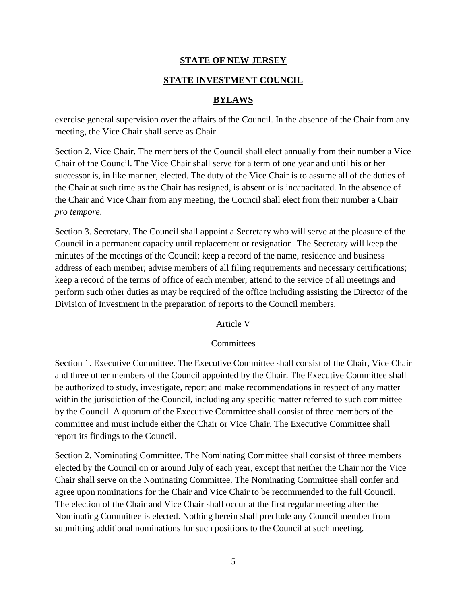#### **STATE INVESTMENT COUNCIL**

#### **BYLAWS**

exercise general supervision over the affairs of the Council. In the absence of the Chair from any meeting, the Vice Chair shall serve as Chair.

Section 2. Vice Chair. The members of the Council shall elect annually from their number a Vice Chair of the Council. The Vice Chair shall serve for a term of one year and until his or her successor is, in like manner, elected. The duty of the Vice Chair is to assume all of the duties of the Chair at such time as the Chair has resigned, is absent or is incapacitated. In the absence of the Chair and Vice Chair from any meeting, the Council shall elect from their number a Chair *pro tempore*.

Section 3. Secretary. The Council shall appoint a Secretary who will serve at the pleasure of the Council in a permanent capacity until replacement or resignation. The Secretary will keep the minutes of the meetings of the Council; keep a record of the name, residence and business address of each member; advise members of all filing requirements and necessary certifications; keep a record of the terms of office of each member; attend to the service of all meetings and perform such other duties as may be required of the office including assisting the Director of the Division of Investment in the preparation of reports to the Council members.

#### Article V

#### **Committees**

Section 1. Executive Committee. The Executive Committee shall consist of the Chair, Vice Chair and three other members of the Council appointed by the Chair. The Executive Committee shall be authorized to study, investigate, report and make recommendations in respect of any matter within the jurisdiction of the Council, including any specific matter referred to such committee by the Council. A quorum of the Executive Committee shall consist of three members of the committee and must include either the Chair or Vice Chair. The Executive Committee shall report its findings to the Council.

Section 2. Nominating Committee. The Nominating Committee shall consist of three members elected by the Council on or around July of each year, except that neither the Chair nor the Vice Chair shall serve on the Nominating Committee. The Nominating Committee shall confer and agree upon nominations for the Chair and Vice Chair to be recommended to the full Council. The election of the Chair and Vice Chair shall occur at the first regular meeting after the Nominating Committee is elected. Nothing herein shall preclude any Council member from submitting additional nominations for such positions to the Council at such meeting.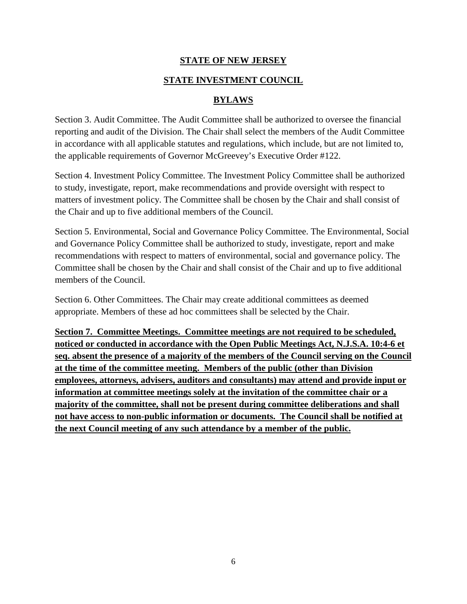#### **STATE INVESTMENT COUNCIL**

#### **BYLAWS**

Section 3. Audit Committee. The Audit Committee shall be authorized to oversee the financial reporting and audit of the Division. The Chair shall select the members of the Audit Committee in accordance with all applicable statutes and regulations, which include, but are not limited to, the applicable requirements of Governor McGreevey's Executive Order #122.

Section 4. Investment Policy Committee. The Investment Policy Committee shall be authorized to study, investigate, report, make recommendations and provide oversight with respect to matters of investment policy. The Committee shall be chosen by the Chair and shall consist of the Chair and up to five additional members of the Council.

Section 5. Environmental, Social and Governance Policy Committee. The Environmental, Social and Governance Policy Committee shall be authorized to study, investigate, report and make recommendations with respect to matters of environmental, social and governance policy. The Committee shall be chosen by the Chair and shall consist of the Chair and up to five additional members of the Council.

Section 6. Other Committees. The Chair may create additional committees as deemed appropriate. Members of these ad hoc committees shall be selected by the Chair.

**Section 7. Committee Meetings. Committee meetings are not required to be scheduled, noticed or conducted in accordance with the Open Public Meetings Act, N.J.S.A. 10:4-6 et seq. absent the presence of a majority of the members of the Council serving on the Council at the time of the committee meeting. Members of the public (other than Division employees, attorneys, advisers, auditors and consultants) may attend and provide input or information at committee meetings solely at the invitation of the committee chair or a majority of the committee, shall not be present during committee deliberations and shall not have access to non-public information or documents. The Council shall be notified at the next Council meeting of any such attendance by a member of the public.**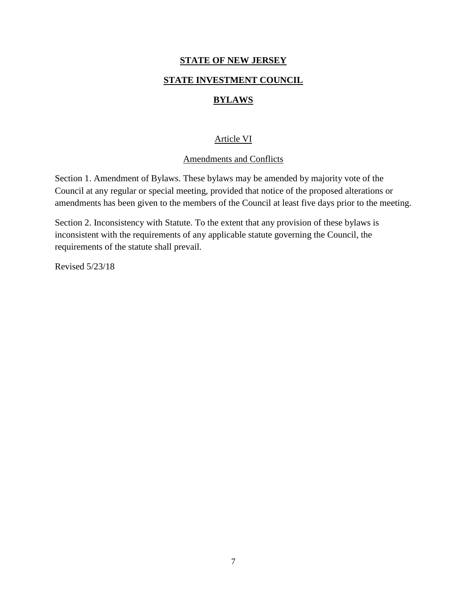#### **STATE INVESTMENT COUNCIL**

#### **BYLAWS**

#### Article VI

#### Amendments and Conflicts

Section 1. Amendment of Bylaws. These bylaws may be amended by majority vote of the Council at any regular or special meeting, provided that notice of the proposed alterations or amendments has been given to the members of the Council at least five days prior to the meeting.

Section 2. Inconsistency with Statute. To the extent that any provision of these bylaws is inconsistent with the requirements of any applicable statute governing the Council, the requirements of the statute shall prevail.

Revised 5/23/18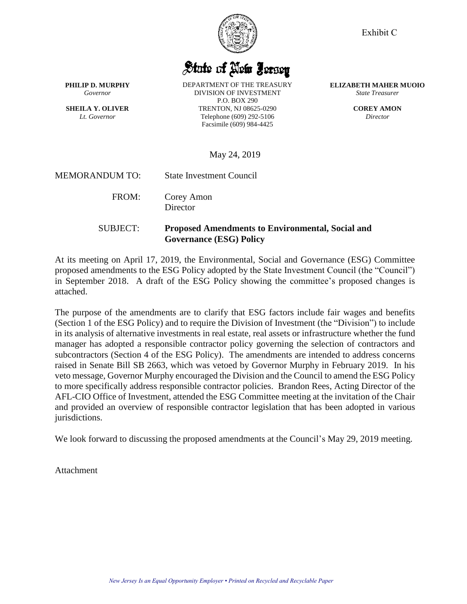State of New Jersey

**PHILIP D. MURPHY** *Governor*

**SHEILA Y. OLIVER** *Lt. Governor*

DEPARTMENT OF THE TREASURY DIVISION OF INVESTMENT P.O. BOX 290 TRENTON, NJ 08625-0290 Telephone (609) 292-5106 Facsimile (609) 984-4425

**ELIZABETH MAHER MUOIO** *State Treasurer*

> **COREY AMON** *Director*

May 24, 2019

MEMORANDUM TO: State Investment Council

FROM: Corey Amon **Director** 

SUBJECT: **Proposed Amendments to Environmental, Social and Governance (ESG) Policy** 

At its meeting on April 17, 2019, the Environmental, Social and Governance (ESG) Committee proposed amendments to the ESG Policy adopted by the State Investment Council (the "Council") in September 2018. A draft of the ESG Policy showing the committee's proposed changes is attached.

The purpose of the amendments are to clarify that ESG factors include fair wages and benefits (Section 1 of the ESG Policy) and to require the Division of Investment (the "Division") to include in its analysis of alternative investments in real estate, real assets or infrastructure whether the fund manager has adopted a responsible contractor policy governing the selection of contractors and subcontractors (Section 4 of the ESG Policy). The amendments are intended to address concerns raised in Senate Bill SB 2663, which was vetoed by Governor Murphy in February 2019. In his veto message, Governor Murphy encouraged the Division and the Council to amend the ESG Policy to more specifically address responsible contractor policies. Brandon Rees, Acting Director of the AFL-CIO Office of Investment, attended the ESG Committee meeting at the invitation of the Chair and provided an overview of responsible contractor legislation that has been adopted in various jurisdictions.

We look forward to discussing the proposed amendments at the Council's May 29, 2019 meeting.

Attachment



Exhibit C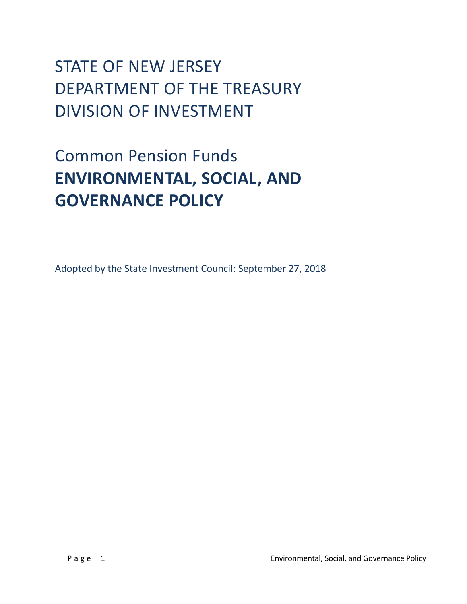# STATE OF NEW JERSEY DEPARTMENT OF THE TREASURY DIVISION OF INVESTMENT

# Common Pension Funds **ENVIRONMENTAL, SOCIAL, AND GOVERNANCE POLICY**

Adopted by the State Investment Council: September 27, 2018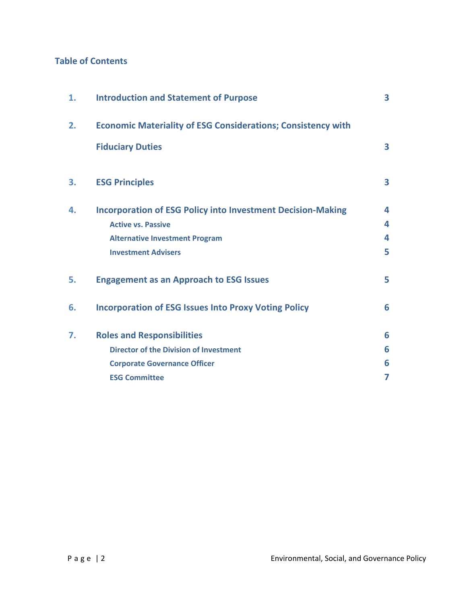## **Table of Contents**

| 1. | <b>Introduction and Statement of Purpose</b>                        |   |  |  |
|----|---------------------------------------------------------------------|---|--|--|
| 2. | <b>Economic Materiality of ESG Considerations; Consistency with</b> |   |  |  |
|    | <b>Fiduciary Duties</b>                                             | 3 |  |  |
| 3. | <b>ESG Principles</b>                                               | 3 |  |  |
| 4. | <b>Incorporation of ESG Policy into Investment Decision-Making</b>  | 4 |  |  |
|    | <b>Active vs. Passive</b>                                           | 4 |  |  |
|    | <b>Alternative Investment Program</b>                               | 4 |  |  |
|    | <b>Investment Advisers</b>                                          | 5 |  |  |
| 5. | <b>Engagement as an Approach to ESG Issues</b>                      | 5 |  |  |
| 6. | <b>Incorporation of ESG Issues Into Proxy Voting Policy</b>         | 6 |  |  |
| 7. | <b>Roles and Responsibilities</b>                                   | 6 |  |  |
|    | <b>Director of the Division of Investment</b>                       | 6 |  |  |
|    | <b>Corporate Governance Officer</b>                                 | 6 |  |  |
|    | <b>ESG Committee</b>                                                | 7 |  |  |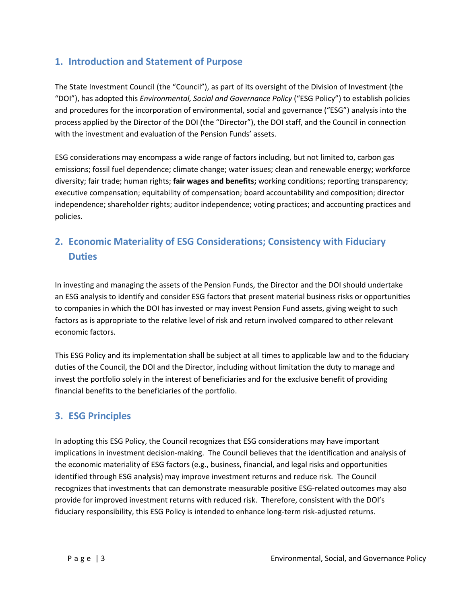## **1. Introduction and Statement of Purpose**

The State Investment Council (the "Council"), as part of its oversight of the Division of Investment (the "DOI"), has adopted this *Environmental, Social and Governance Policy* ("ESG Policy") to establish policies and procedures for the incorporation of environmental, social and governance ("ESG") analysis into the process applied by the Director of the DOI (the "Director"), the DOI staff, and the Council in connection with the investment and evaluation of the Pension Funds' assets.

ESG considerations may encompass a wide range of factors including, but not limited to, carbon gas emissions; fossil fuel dependence; climate change; water issues; clean and renewable energy; workforce diversity; fair trade; human rights; **fair wages and benefits;** working conditions; reporting transparency; executive compensation; equitability of compensation; board accountability and composition; director independence; shareholder rights; auditor independence; voting practices; and accounting practices and policies.

## **2. Economic Materiality of ESG Considerations; Consistency with Fiduciary Duties**

In investing and managing the assets of the Pension Funds, the Director and the DOI should undertake an ESG analysis to identify and consider ESG factors that present material business risks or opportunities to companies in which the DOI has invested or may invest Pension Fund assets, giving weight to such factors as is appropriate to the relative level of risk and return involved compared to other relevant economic factors.

This ESG Policy and its implementation shall be subject at all times to applicable law and to the fiduciary duties of the Council, the DOI and the Director, including without limitation the duty to manage and invest the portfolio solely in the interest of beneficiaries and for the exclusive benefit of providing financial benefits to the beneficiaries of the portfolio.

## **3. ESG Principles**

In adopting this ESG Policy, the Council recognizes that ESG considerations may have important implications in investment decision-making. The Council believes that the identification and analysis of the economic materiality of ESG factors (e.g., business, financial, and legal risks and opportunities identified through ESG analysis) may improve investment returns and reduce risk. The Council recognizes that investments that can demonstrate measurable positive ESG-related outcomes may also provide for improved investment returns with reduced risk. Therefore, consistent with the DOI's fiduciary responsibility, this ESG Policy is intended to enhance long-term risk-adjusted returns.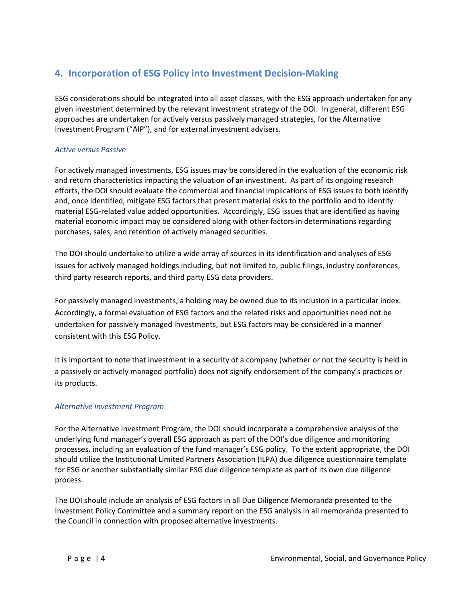## **4. Incorporation of ESG Policy into Investment Decision-Making**

ESG considerations should be integrated into all asset classes, with the ESG approach undertaken for any given investment determined by the relevant investment strategy of the DOI. In general, different ESG approaches are undertaken for actively versus passively managed strategies, for the Alternative Investment Program ("AIP"), and for external investment advisers.

#### *Active versus Passive*

For actively managed investments, ESG issues may be considered in the evaluation of the economic risk and return characteristics impacting the valuation of an investment. As part of its ongoing research efforts, the DOI should evaluate the commercial and financial implications of ESG issues to both identify and, once identified, mitigate ESG factors that present material risks to the portfolio and to identify material ESG-related value added opportunities. Accordingly, ESG issues that are identified as having material economic impact may be considered along with other factors in determinations regarding purchases, sales, and retention of actively managed securities.

The DOI should undertake to utilize a wide array of sources in its identification and analyses of ESG issues for actively managed holdings including, but not limited to, public filings, industry conferences, third party research reports, and third party ESG data providers.

For passively managed investments, a holding may be owned due to its inclusion in a particular index. Accordingly, a formal evaluation of ESG factors and the related risks and opportunities need not be undertaken for passively managed investments, but ESG factors may be considered in a manner consistent with this ESG Policy.

It is important to note that investment in a security of a company (whether or not the security is held in a passively or actively managed portfolio) does not signify endorsement of the company's practices or its products.

#### *Alternative Investment Program*

For the Alternative Investment Program, the DOI should incorporate a comprehensive analysis of the underlying fund manager's overall ESG approach as part of the DOI's due diligence and monitoring processes, including an evaluation of the fund manager's ESG policy. To the extent appropriate, the DOI should utilize the Institutional Limited Partners Association (ILPA) due diligence questionnaire template for ESG or another substantially similar ESG due diligence template as part of its own due diligence process.

The DOI should include an analysis of ESG factors in all Due Diligence Memoranda presented to the Investment Policy Committee and a summary report on the ESG analysis in all memoranda presented to the Council in connection with proposed alternative investments.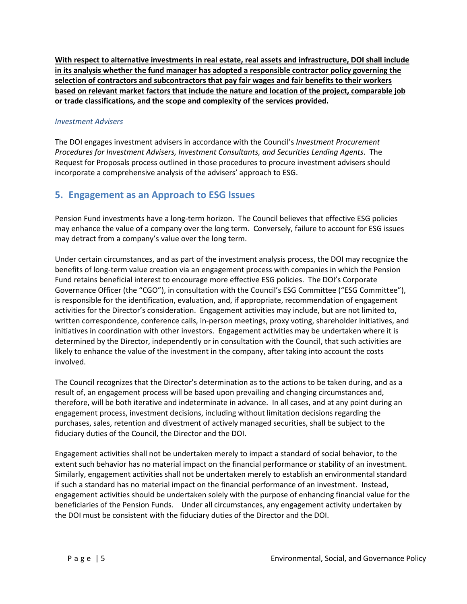**With respect to alternative investments in real estate, real assets and infrastructure, DOI shall include in its analysis whether the fund manager has adopted a responsible contractor policy governing the selection of contractors and subcontractors that pay fair wages and fair benefits to their workers based on relevant market factors that include the nature and location of the project, comparable job or trade classifications, and the scope and complexity of the services provided.** 

#### *Investment Advisers*

The DOI engages investment advisers in accordance with the Council's *Investment Procurement Procedures for Investment Advisers, Investment Consultants, and Securities Lending Agents*. The Request for Proposals process outlined in those procedures to procure investment advisers should incorporate a comprehensive analysis of the advisers' approach to ESG.

### **5. Engagement as an Approach to ESG Issues**

Pension Fund investments have a long-term horizon. The Council believes that effective ESG policies may enhance the value of a company over the long term. Conversely, failure to account for ESG issues may detract from a company's value over the long term.

Under certain circumstances, and as part of the investment analysis process, the DOI may recognize the benefits of long-term value creation via an engagement process with companies in which the Pension Fund retains beneficial interest to encourage more effective ESG policies. The DOI's Corporate Governance Officer (the "CGO"), in consultation with the Council's ESG Committee ("ESG Committee"), is responsible for the identification, evaluation, and, if appropriate, recommendation of engagement activities for the Director's consideration. Engagement activities may include, but are not limited to, written correspondence, conference calls, in-person meetings, proxy voting, shareholder initiatives, and initiatives in coordination with other investors. Engagement activities may be undertaken where it is determined by the Director, independently or in consultation with the Council, that such activities are likely to enhance the value of the investment in the company, after taking into account the costs involved.

The Council recognizes that the Director's determination as to the actions to be taken during, and as a result of, an engagement process will be based upon prevailing and changing circumstances and, therefore, will be both iterative and indeterminate in advance. In all cases, and at any point during an engagement process, investment decisions, including without limitation decisions regarding the purchases, sales, retention and divestment of actively managed securities, shall be subject to the fiduciary duties of the Council, the Director and the DOI.

Engagement activities shall not be undertaken merely to impact a standard of social behavior, to the extent such behavior has no material impact on the financial performance or stability of an investment. Similarly, engagement activities shall not be undertaken merely to establish an environmental standard if such a standard has no material impact on the financial performance of an investment. Instead, engagement activities should be undertaken solely with the purpose of enhancing financial value for the beneficiaries of the Pension Funds. Under all circumstances, any engagement activity undertaken by the DOI must be consistent with the fiduciary duties of the Director and the DOI.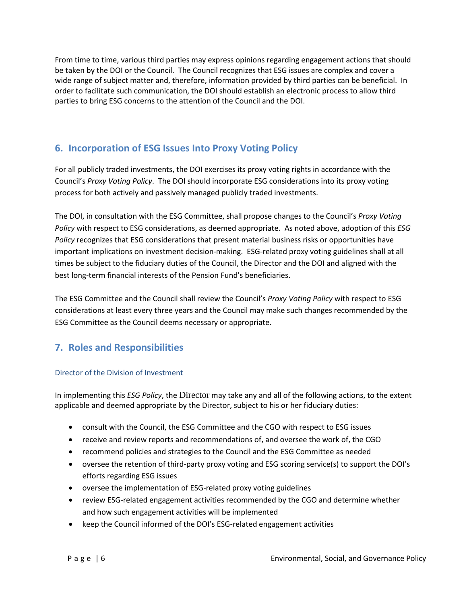From time to time, various third parties may express opinions regarding engagement actions that should be taken by the DOI or the Council. The Council recognizes that ESG issues are complex and cover a wide range of subject matter and, therefore, information provided by third parties can be beneficial. In order to facilitate such communication, the DOI should establish an electronic process to allow third parties to bring ESG concerns to the attention of the Council and the DOI.

## **6. Incorporation of ESG Issues Into Proxy Voting Policy**

For all publicly traded investments, the DOI exercises its proxy voting rights in accordance with the Council's *Proxy Voting Policy*. The DOI should incorporate ESG considerations into its proxy voting process for both actively and passively managed publicly traded investments.

The DOI, in consultation with the ESG Committee, shall propose changes to the Council's *Proxy Voting Policy* with respect to ESG considerations, as deemed appropriate. As noted above, adoption of this *ESG Policy* recognizes that ESG considerations that present material business risks or opportunities have important implications on investment decision-making. ESG-related proxy voting guidelines shall at all times be subject to the fiduciary duties of the Council, the Director and the DOI and aligned with the best long-term financial interests of the Pension Fund's beneficiaries.

The ESG Committee and the Council shall review the Council's *Proxy Voting Policy* with respect to ESG considerations at least every three years and the Council may make such changes recommended by the ESG Committee as the Council deems necessary or appropriate.

## **7. Roles and Responsibilities**

#### Director of the Division of Investment

In implementing this *ESG Policy*, the Director may take any and all of the following actions, to the extent applicable and deemed appropriate by the Director, subject to his or her fiduciary duties:

- consult with the Council, the ESG Committee and the CGO with respect to ESG issues
- receive and review reports and recommendations of, and oversee the work of, the CGO
- recommend policies and strategies to the Council and the ESG Committee as needed
- oversee the retention of third-party proxy voting and ESG scoring service(s) to support the DOI's efforts regarding ESG issues
- oversee the implementation of ESG-related proxy voting guidelines
- review ESG-related engagement activities recommended by the CGO and determine whether and how such engagement activities will be implemented
- keep the Council informed of the DOI's ESG-related engagement activities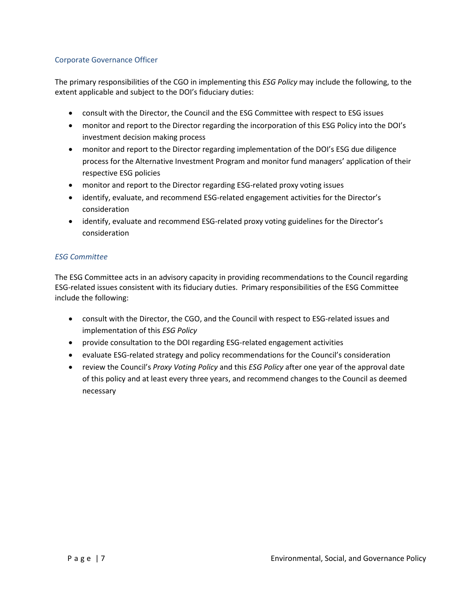#### Corporate Governance Officer

The primary responsibilities of the CGO in implementing this *ESG Policy* may include the following, to the extent applicable and subject to the DOI's fiduciary duties:

- consult with the Director, the Council and the ESG Committee with respect to ESG issues
- monitor and report to the Director regarding the incorporation of this ESG Policy into the DOI's investment decision making process
- monitor and report to the Director regarding implementation of the DOI's ESG due diligence process for the Alternative Investment Program and monitor fund managers' application of their respective ESG policies
- monitor and report to the Director regarding ESG-related proxy voting issues
- identify, evaluate, and recommend ESG-related engagement activities for the Director's consideration
- identify, evaluate and recommend ESG-related proxy voting guidelines for the Director's consideration

#### *ESG Committee*

The ESG Committee acts in an advisory capacity in providing recommendations to the Council regarding ESG-related issues consistent with its fiduciary duties. Primary responsibilities of the ESG Committee include the following:

- consult with the Director, the CGO, and the Council with respect to ESG-related issues and implementation of this *ESG Policy*
- provide consultation to the DOI regarding ESG-related engagement activities
- evaluate ESG-related strategy and policy recommendations for the Council's consideration
- review the Council's *Proxy Voting Policy* and this *ESG Policy* after one year of the approval date of this policy and at least every three years, and recommend changes to the Council as deemed necessary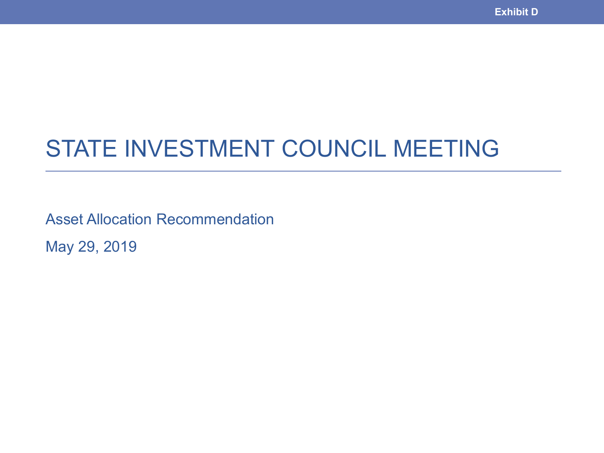# STATE INVESTMENT COUNCIL MEETING

Asset Allocation Recommendation May 29, 2019